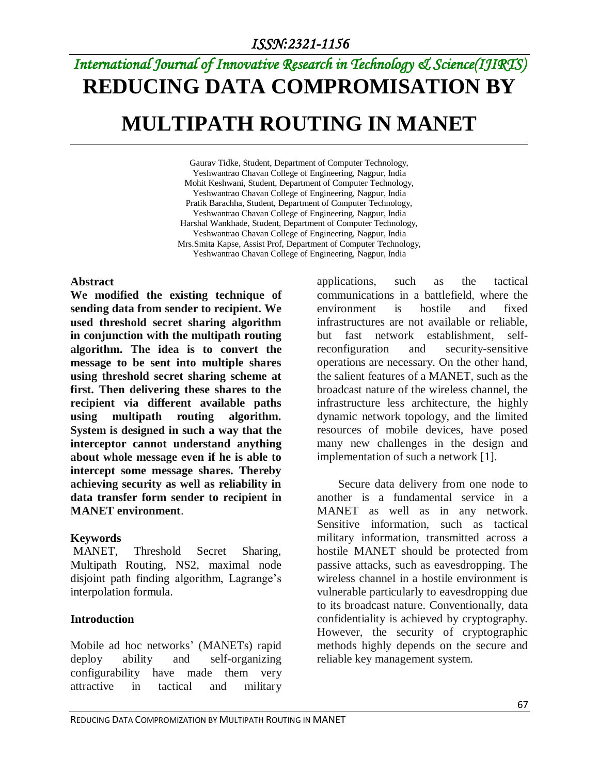# *International Journal of Innovative Research in Technology & Science(IJIRTS)* **REDUCING DATA COMPROMISATION BY MULTIPATH ROUTING IN MANET**

Gaurav Tidke, Student, Department of Computer Technology, Yeshwantrao Chavan College of Engineering, Nagpur, India Mohit Keshwani, Student, Department of Computer Technology, Yeshwantrao Chavan College of Engineering, Nagpur, India Pratik Barachha, Student, Department of Computer Technology, Yeshwantrao Chavan College of Engineering, Nagpur, India Harshal Wankhade, Student, Department of Computer Technology, Yeshwantrao Chavan College of Engineering, Nagpur, India Mrs.Smita Kapse, Assist Prof, Department of Computer Technology, Yeshwantrao Chavan College of Engineering, Nagpur, India

#### **Abstract**

**We modified the existing technique of sending data from sender to recipient. We used threshold secret sharing algorithm in conjunction with the multipath routing algorithm. The idea is to convert the message to be sent into multiple shares using threshold secret sharing scheme at first. Then delivering these shares to the recipient via different available paths using multipath routing algorithm. System is designed in such a way that the interceptor cannot understand anything about whole message even if he is able to intercept some message shares. Thereby achieving security as well as reliability in data transfer form sender to recipient in MANET environment**.

#### **Keywords**

MANET, Threshold Secret Sharing, Multipath Routing, NS2, maximal node disjoint path finding algorithm, Lagrange's interpolation formula.

## **Introduction**

Mobile ad hoc networks' (MANETs) rapid deploy ability and self-organizing configurability have made them very attractive in tactical and military applications, such as the tactical communications in a battlefield, where the environment is hostile and fixed infrastructures are not available or reliable, but fast network establishment, selfreconfiguration and security-sensitive operations are necessary. On the other hand, the salient features of a MANET, such as the broadcast nature of the wireless channel, the infrastructure less architecture, the highly dynamic network topology, and the limited resources of mobile devices, have posed many new challenges in the design and implementation of such a network [1].

Secure data delivery from one node to another is a fundamental service in a MANET as well as in any network. Sensitive information, such as tactical military information, transmitted across a hostile MANET should be protected from passive attacks, such as eavesdropping. The wireless channel in a hostile environment is vulnerable particularly to eavesdropping due to its broadcast nature. Conventionally, data confidentiality is achieved by cryptography. However, the security of cryptographic methods highly depends on the secure and reliable key management system.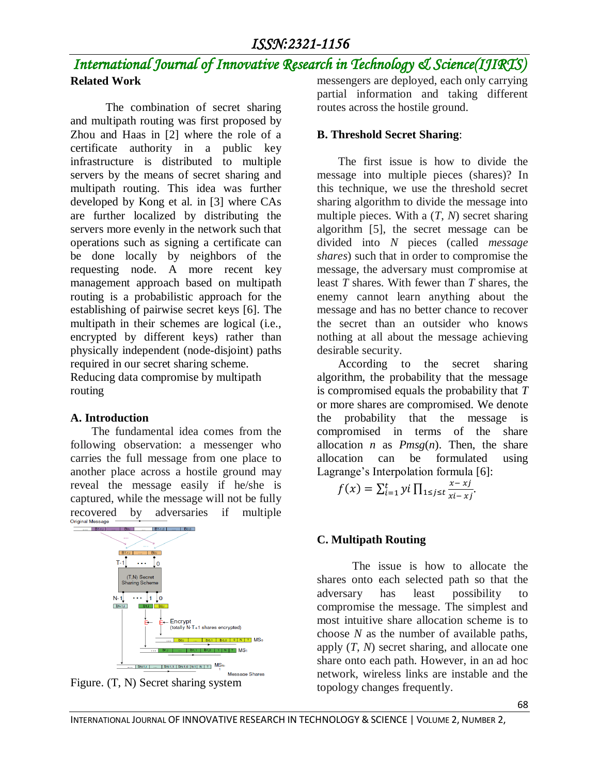# *International Journal of Innovative Research in Technology & Science(IJIRTS)* **Related Work**

The combination of secret sharing and multipath routing was first proposed by Zhou and Haas in [2] where the role of a certificate authority in a public key infrastructure is distributed to multiple servers by the means of secret sharing and multipath routing. This idea was further developed by Kong et al. in [3] where CAs are further localized by distributing the servers more evenly in the network such that operations such as signing a certificate can be done locally by neighbors of the requesting node. A more recent key management approach based on multipath routing is a probabilistic approach for the establishing of pairwise secret keys [6]. The multipath in their schemes are logical (i.e., encrypted by different keys) rather than physically independent (node-disjoint) paths required in our secret sharing scheme.

Reducing data compromise by multipath routing

## **A. Introduction**

The fundamental idea comes from the following observation: a messenger who carries the full message from one place to another place across a hostile ground may reveal the message easily if he/she is captured, while the message will not be fully recovered by adversaries if multiple





messengers are deployed, each only carrying partial information and taking different routes across the hostile ground.

# **B. Threshold Secret Sharing**:

The first issue is how to divide the message into multiple pieces (shares)? In this technique, we use the threshold secret sharing algorithm to divide the message into multiple pieces. With a (*T*, *N*) secret sharing algorithm [5], the secret message can be divided into *N* pieces (called *message shares*) such that in order to compromise the message, the adversary must compromise at least *T* shares. With fewer than *T* shares, the enemy cannot learn anything about the message and has no better chance to recover the secret than an outsider who knows nothing at all about the message achieving desirable security.

According to the secret sharing algorithm, the probability that the message is compromised equals the probability that *T*  or more shares are compromised. We denote the probability that the message is compromised in terms of the share allocation *n* as  $Pmsg(n)$ . Then, the share allocation can be formulated using Lagrange's Interpolation formula [6]:

$$
f(x) = \sum_{i=1}^{t} yi \prod_{1 \leq j \leq t} \frac{x - xj}{x^{i} - xj}.
$$

# **C. Multipath Routing**

The issue is how to allocate the shares onto each selected path so that the adversary has least possibility to compromise the message. The simplest and most intuitive share allocation scheme is to choose *N* as the number of available paths, apply (*T*, *N*) secret sharing, and allocate one share onto each path. However, in an ad hoc network, wireless links are instable and the topology changes frequently.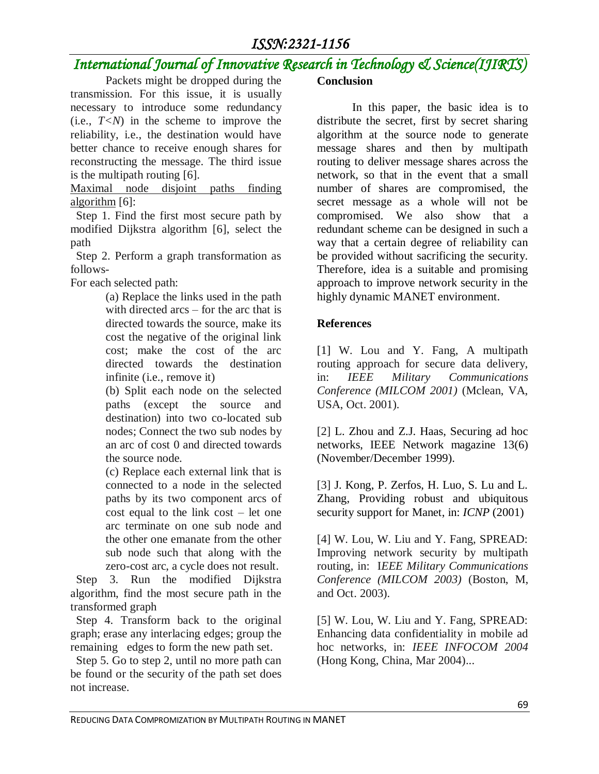# *ISSN:2321-1156*

# *International Journal of Innovative Research in Technology & Science(IJIRTS)*

Packets might be dropped during the transmission. For this issue, it is usually necessary to introduce some redundancy (i.e.,  $T \leq N$ ) in the scheme to improve the reliability, i.e., the destination would have better chance to receive enough shares for reconstructing the message. The third issue is the multipath routing [6].

Maximal node disjoint paths finding algorithm [6]:

 Step 1. Find the first most secure path by modified Dijkstra algorithm [6], select the path

 Step 2. Perform a graph transformation as follows-

For each selected path:

(a) Replace the links used in the path with directed arcs – for the arc that is directed towards the source, make its cost the negative of the original link cost; make the cost of the arc directed towards the destination infinite (i.e., remove it)

(b) Split each node on the selected paths (except the source and destination) into two co-located sub nodes; Connect the two sub nodes by an arc of cost 0 and directed towards the source node.

(c) Replace each external link that is connected to a node in the selected paths by its two component arcs of cost equal to the link cost – let one arc terminate on one sub node and the other one emanate from the other sub node such that along with the zero-cost arc, a cycle does not result.

 Step 3. Run the modified Dijkstra algorithm, find the most secure path in the transformed graph

 Step 4. Transform back to the original graph; erase any interlacing edges; group the remaining edges to form the new path set.

 Step 5. Go to step 2, until no more path can be found or the security of the path set does not increase.

### **Conclusion**

In this paper, the basic idea is to distribute the secret, first by secret sharing algorithm at the source node to generate message shares and then by multipath routing to deliver message shares across the network, so that in the event that a small number of shares are compromised, the secret message as a whole will not be compromised. We also show that a redundant scheme can be designed in such a way that a certain degree of reliability can be provided without sacrificing the security. Therefore, idea is a suitable and promising approach to improve network security in the highly dynamic MANET environment.

## **References**

[1] W. Lou and Y. Fang, A multipath routing approach for secure data delivery, in: *IEEE Military Communications Conference (MILCOM 2001)* (Mclean, VA, USA, Oct. 2001).

[2] L. Zhou and Z.J. Haas, Securing ad hoc networks, IEEE Network magazine 13(6) (November/December 1999).

[3] J. Kong, P. Zerfos, H. Luo, S. Lu and L. Zhang, Providing robust and ubiquitous security support for Manet, in: *ICNP* (2001)

[4] W. Lou, W. Liu and Y. Fang, SPREAD: Improving network security by multipath routing, in: I*EEE Military Communications Conference (MILCOM 2003)* (Boston, M, and Oct. 2003).

[5] W. Lou, W. Liu and Y. Fang, SPREAD: Enhancing data confidentiality in mobile ad hoc networks, in: *IEEE INFOCOM 2004* (Hong Kong, China, Mar 2004)...